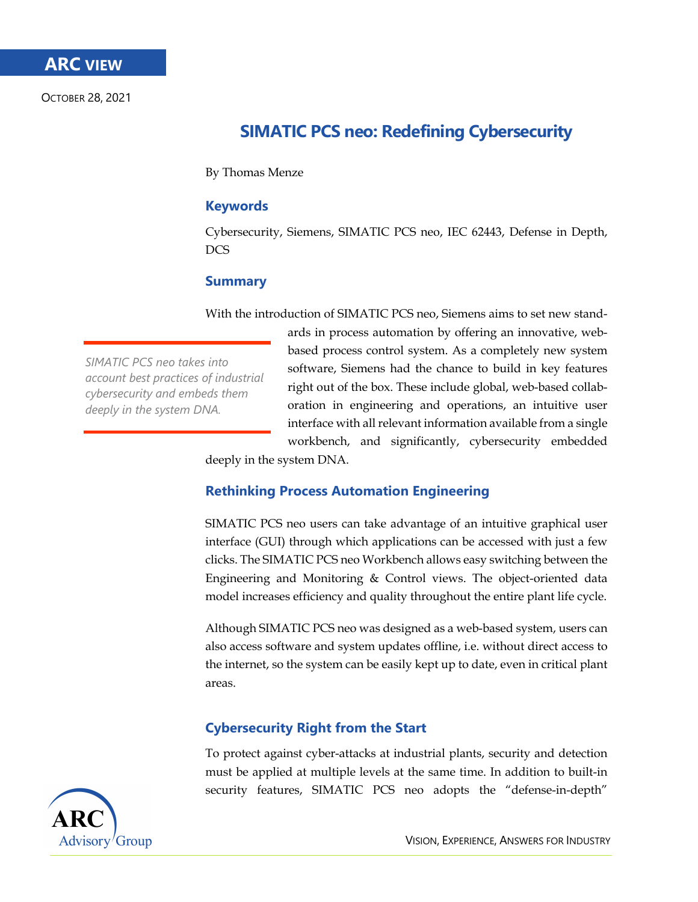OCTOBER 28, 2021

# **SIMATIC PCS neo: Redefining Cybersecurity**

By Thomas Menze

## **Keywords**

Cybersecurity, Siemens, SIMATIC PCS neo, IEC 62443, Defense in Depth, DCS

## **Summary**

With the introduction of SIMATIC PCS neo, Siemens aims to set new stand-

*SIMATIC PCS neo takes into account best practices of industrial cybersecurity and embeds them deeply in the system DNA.*

ards in process automation by offering an innovative, webbased process control system. As a completely new system software, Siemens had the chance to build in key features right out of the box. These include global, web-based collaboration in engineering and operations, an intuitive user interface with all relevant information available from a single workbench, and significantly, cybersecurity embedded deeply in the system DNA.

## **Rethinking Process Automation Engineering**

SIMATIC PCS neo users can take advantage of an intuitive graphical user interface (GUI) through which applications can be accessed with just a few clicks. The SIMATIC PCS neo Workbench allows easy switching between the Engineering and Monitoring & Control views. The object-oriented data model increases efficiency and quality throughout the entire plant life cycle.

Although SIMATIC PCS neo was designed as a web-based system, users can also access software and system updates offline, i.e. without direct access to the internet, so the system can be easily kept up to date, even in critical plant areas.

## **Cybersecurity Right from the Start**

To protect against cyber-attacks at industrial plants, security and detection must be applied at multiple levels at the same time. In addition to built-in security features, SIMATIC PCS neo adopts the "defense-in-depth"

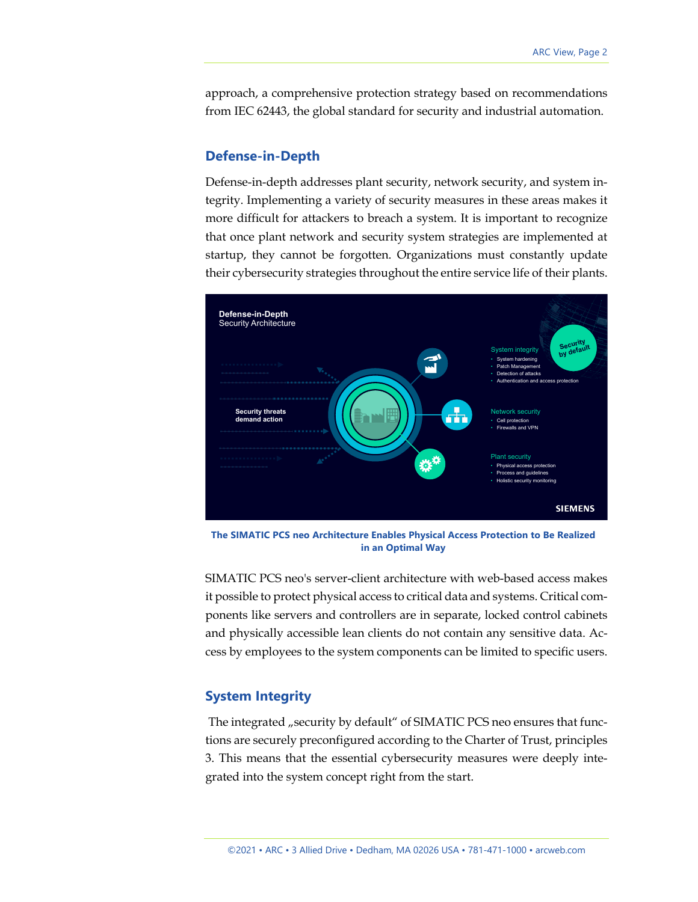approach, a comprehensive protection strategy based on recommendations from IEC 62443, the global standard for security and industrial automation.

#### **Defense-in-Depth**

Defense-in-depth addresses plant security, network security, and system integrity. Implementing a variety of security measures in these areas makes it more difficult for attackers to breach a system. It is important to recognize that once plant network and security system strategies are implemented at startup, they cannot be forgotten. Organizations must constantly update their cybersecurity strategies throughout the entire service life of their plants.



**The SIMATIC PCS neo Architecture Enables Physical Access Protection to Be Realized in an Optimal Way**

SIMATIC PCS neo's server-client architecture with web-based access makes it possible to protect physical access to critical data and systems. Critical components like servers and controllers are in separate, locked control cabinets and physically accessible lean clients do not contain any sensitive data. Access by employees to the system components can be limited to specific users.

### **System Integrity**

The integrated "security by default" of SIMATIC PCS neo ensures that functions are securely preconfigured according to the Charter of Trust, principles 3. This means that the essential cybersecurity measures were deeply integrated into the system concept right from the start.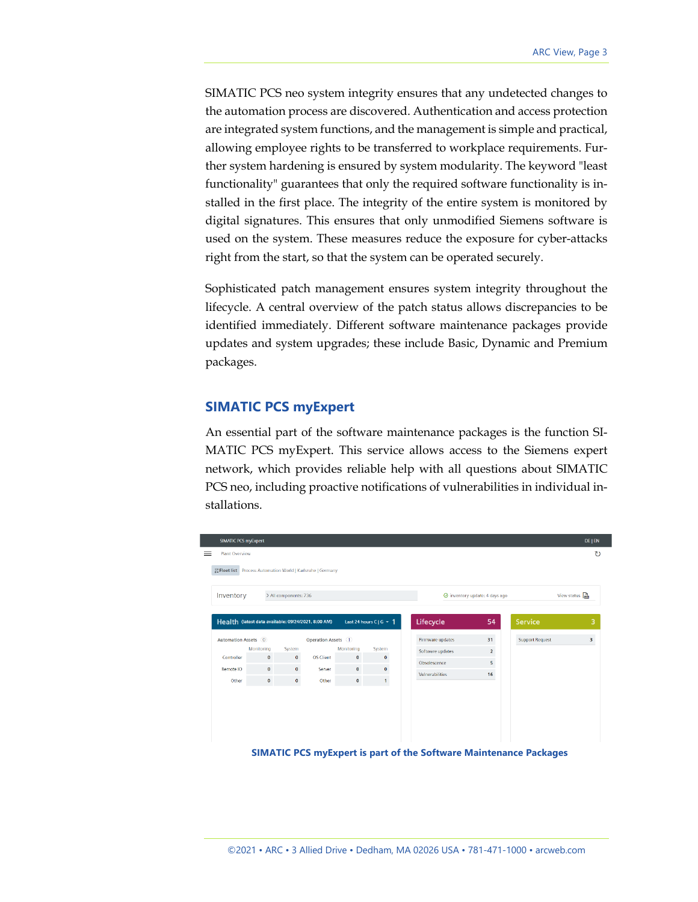SIMATIC PCS neo system integrity ensures that any undetected changes to the automation process are discovered. Authentication and access protection are integrated system functions, and the management is simple and practical, allowing employee rights to be transferred to workplace requirements. Further system hardening is ensured by system modularity. The keyword "least functionality" guarantees that only the required software functionality is installed in the first place. The integrity of the entire system is monitored by digital signatures. This ensures that only unmodified Siemens software is used on the system. These measures reduce the exposure for cyber-attacks right from the start, so that the system can be operated securely.

Sophisticated patch management ensures system integrity throughout the lifecycle. A central overview of the patch status allows discrepancies to be identified immediately. Different software maintenance packages provide updates and system upgrades; these include Basic, Dynamic and Premium packages.

## **SIMATIC PCS myExpert**

An essential part of the software maintenance packages is the function SI-MATIC PCS myExpert. This service allows access to the Siemens expert network, which provides reliable help with all questions about SIMATIC PCS neo, including proactive notifications of vulnerabilities in individual installations.



**SIMATIC PCS myExpert is part of the Software Maintenance Packages**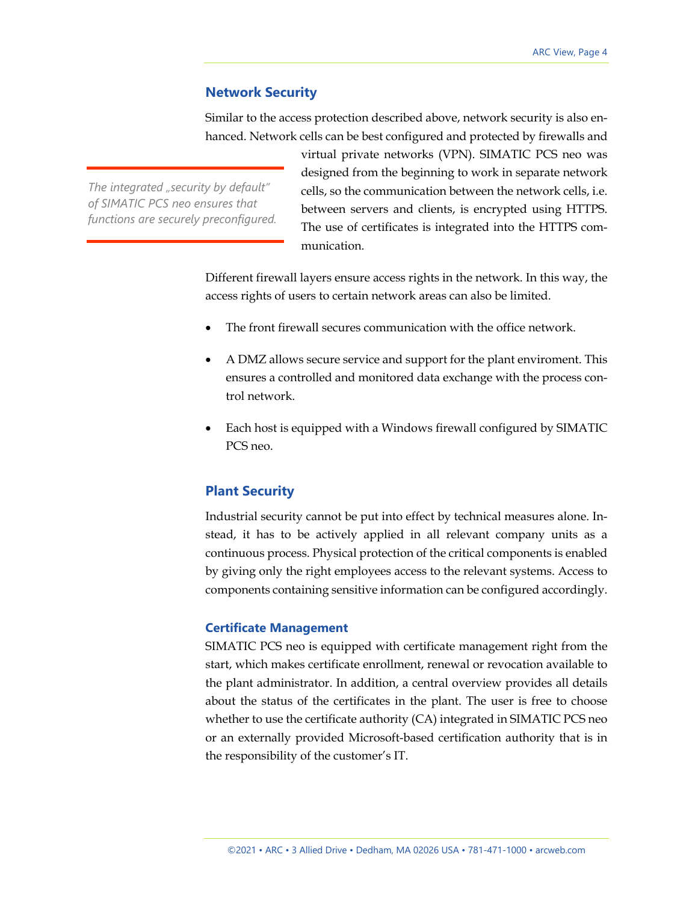### **Network Security**

Similar to the access protection described above, network security is also enhanced. Network cells can be best configured and protected by firewalls and

The integrated "security by default" *of SIMATIC PCS neo ensures that functions are securely preconfigured.* virtual private networks (VPN). SIMATIC PCS neo was designed from the beginning to work in separate network cells, so the communication between the network cells, i.e. between servers and clients, is encrypted using HTTPS. The use of certificates is integrated into the HTTPS communication.

Different firewall layers ensure access rights in the network. In this way, the access rights of users to certain network areas can also be limited.

- The front firewall secures communication with the office network.
- A DMZ allows secure service and support for the plant enviroment. This ensures a controlled and monitored data exchange with the process control network.
- Each host is equipped with a Windows firewall configured by SIMATIC PCS neo.

## **Plant Security**

Industrial security cannot be put into effect by technical measures alone. Instead, it has to be actively applied in all relevant company units as a continuous process. Physical protection of the critical components is enabled by giving only the right employees access to the relevant systems. Access to components containing sensitive information can be configured accordingly.

#### **Certificate Management**

SIMATIC PCS neo is equipped with certificate management right from the start, which makes certificate enrollment, renewal or revocation available to the plant administrator. In addition, a central overview provides all details about the status of the certificates in the plant. The user is free to choose whether to use the certificate authority (CA) integrated in SIMATIC PCS neo or an externally provided Microsoft-based certification authority that is in the responsibility of the customer's IT.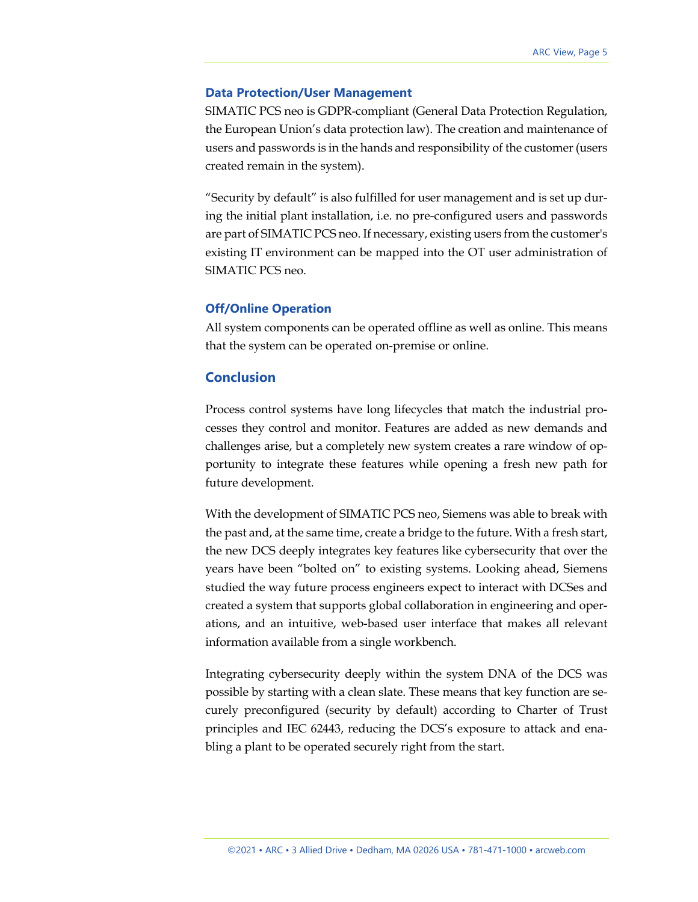#### **Data Protection/User Management**

SIMATIC PCS neo is GDPR-compliant (General Data Protection Regulation, the European Union's data protection law). The creation and maintenance of users and passwords is in the hands and responsibility of the customer (users created remain in the system).

"Security by default" is also fulfilled for user management and is set up during the initial plant installation, i.e. no pre-configured users and passwords are part of SIMATIC PCS neo. If necessary, existing users from the customer's existing IT environment can be mapped into the OT user administration of SIMATIC PCS neo.

#### **Off/Online Operation**

All system components can be operated offline as well as online. This means that the system can be operated on-premise or online.

## **Conclusion**

Process control systems have long lifecycles that match the industrial processes they control and monitor. Features are added as new demands and challenges arise, but a completely new system creates a rare window of opportunity to integrate these features while opening a fresh new path for future development.

With the development of SIMATIC PCS neo, Siemens was able to break with the past and, at the same time, create a bridge to the future. With a fresh start, the new DCS deeply integrates key features like cybersecurity that over the years have been "bolted on" to existing systems. Looking ahead, Siemens studied the way future process engineers expect to interact with DCSes and created a system that supports global collaboration in engineering and operations, and an intuitive, web-based user interface that makes all relevant information available from a single workbench.

Integrating cybersecurity deeply within the system DNA of the DCS was possible by starting with a clean slate. These means that key function are securely preconfigured (security by default) according to Charter of Trust principles and IEC 62443, reducing the DCS's exposure to attack and enabling a plant to be operated securely right from the start.